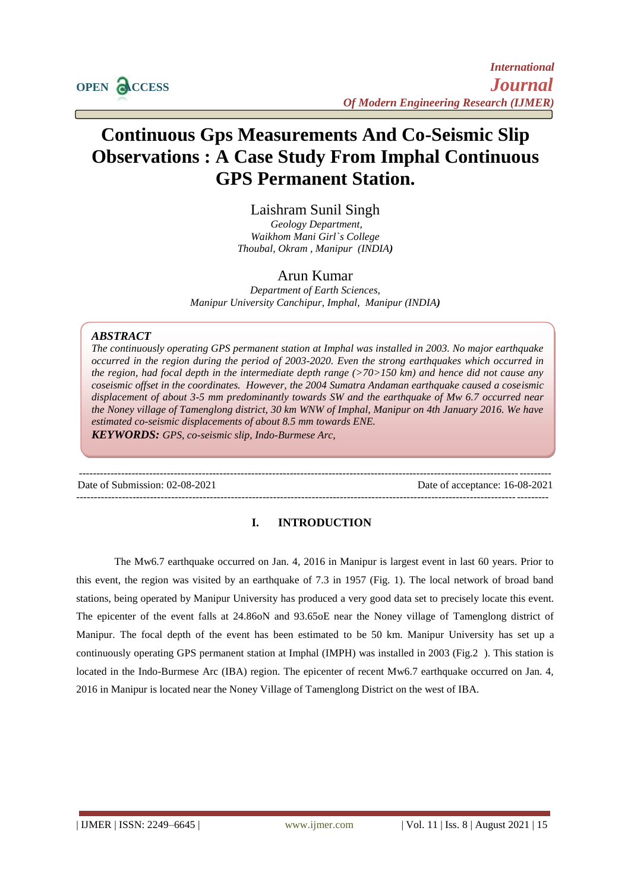

# **Continuous Gps Measurements And Co-Seismic Slip Observations : A Case Study From Imphal Continuous GPS Permanent Station.**

Laishram Sunil Singh *Geology Department, Waikhom Mani Girl`s College Thoubal, Okram , Manipur (INDIA)*

## Arun Kumar

*Department of Earth Sciences, Manipur University Canchipur, Imphal, Manipur (INDIA)*

### *ABSTRACT*

*The continuously operating GPS permanent station at Imphal was installed in 2003. No major earthquake occurred in the region during the period of 2003-2020. Even the strong earthquakes which occurred in the region, had focal depth in the intermediate depth range (>70>150 km) and hence did not cause any coseismic offset in the coordinates. However, the 2004 Sumatra Andaman earthquake caused a coseismic displacement of about 3-5 mm predominantly towards SW and the earthquake of Mw 6.7 occurred near the Noney village of Tamenglong district, 30 km WNW of Imphal, Manipur on 4th January 2016. We have estimated co-seismic displacements of about 8.5 mm towards ENE. KEYWORDS: GPS, co-seismic slip, Indo-Burmese Arc,* 

--------------------------------------------------------------------------------------------------------------------------------------

Date of Submission: 02-08-2021 Date of acceptance: 16-08-2021

## **I. INTRODUCTION**

--------------------------------------------------------------------------------------------------------------------------------------

The Mw6.7 earthquake occurred on Jan. 4, 2016 in Manipur is largest event in last 60 years. Prior to this event, the region was visited by an earthquake of 7.3 in 1957 (Fig. 1). The local network of broad band stations, being operated by Manipur University has produced a very good data set to precisely locate this event. The epicenter of the event falls at 24.86oN and 93.65oE near the Noney village of Tamenglong district of Manipur. The focal depth of the event has been estimated to be 50 km. Manipur University has set up a continuously operating GPS permanent station at Imphal (IMPH) was installed in 2003 (Fig.2 ). This station is located in the Indo-Burmese Arc (IBA) region. The epicenter of recent Mw6.7 earthquake occurred on Jan. 4, 2016 in Manipur is located near the Noney Village of Tamenglong District on the west of IBA.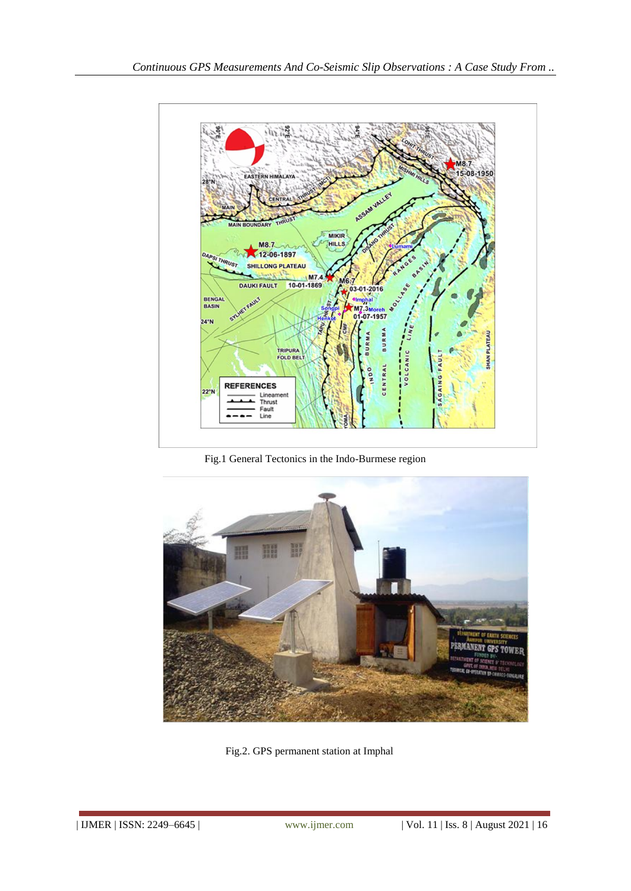

Fig.1 General Tectonics in the Indo-Burmese region



Fig.2. GPS permanent station at Imphal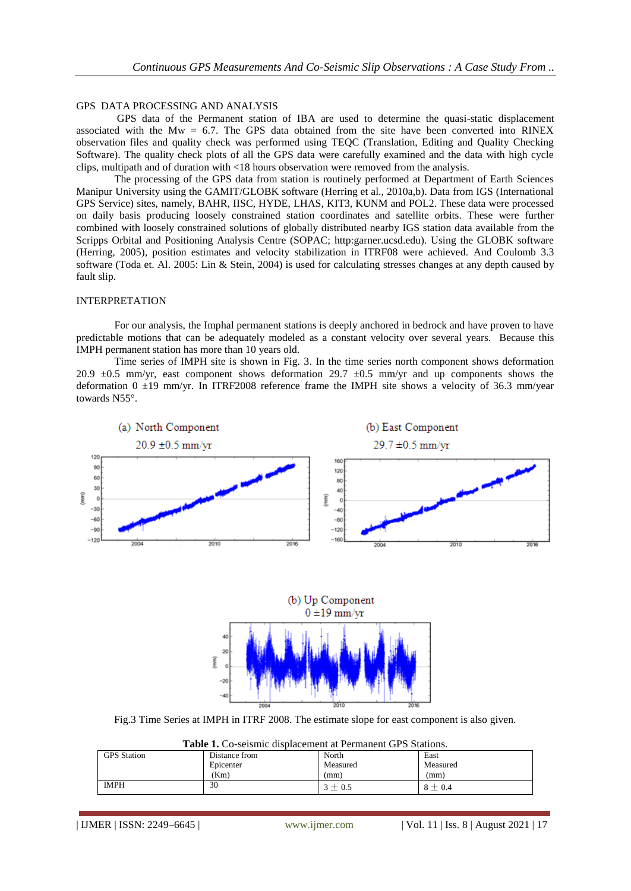## GPS DATA PROCESSING AND ANALYSIS

GPS data of the Permanent station of IBA are used to determine the quasi-static displacement associated with the  $Mw = 6.7$ . The GPS data obtained from the site have been converted into RINEX observation files and quality check was performed using TEQC (Translation, Editing and Quality Checking Software). The quality check plots of all the GPS data were carefully examined and the data with high cycle clips, multipath and of duration with <18 hours observation were removed from the analysis.

The processing of the GPS data from station is routinely performed at Department of Earth Sciences Manipur University using the GAMIT/GLOBK software (Herring et al., 2010a,b). Data from IGS (International GPS Service) sites, namely, BAHR, IISC, HYDE, LHAS, KIT3, KUNM and POL2. These data were processed on daily basis producing loosely constrained station coordinates and satellite orbits. These were further combined with loosely constrained solutions of globally distributed nearby IGS station data available from the Scripps Orbital and Positioning Analysis Centre (SOPAC; http:garner.ucsd.edu). Using the GLOBK software (Herring, 2005), position estimates and velocity stabilization in ITRF08 were achieved. And Coulomb 3.3 software (Toda et. Al. 2005: Lin & Stein, 2004) is used for calculating stresses changes at any depth caused by fault slip.

#### INTERPRETATION

For our analysis, the Imphal permanent stations is deeply anchored in bedrock and have proven to have predictable motions that can be adequately modeled as a constant velocity over several years. Because this IMPH permanent station has more than 10 years old.

Time series of IMPH site is shown in Fig. 3. In the time series north component shows deformation 20.9  $\pm$ 0.5 mm/yr, east component shows deformation 29.7  $\pm$ 0.5 mm/yr and up components shows the deformation  $0 \pm 19$  mm/yr. In ITRF2008 reference frame the IMPH site shows a velocity of 36.3 mm/year towards N55°.



Fig.3 Time Series at IMPH in ITRF 2008. The estimate slope for east component is also given.

| <b>Table 1.</b> Co-seismic displacement at Permanent GPS Stations. |               |             |             |
|--------------------------------------------------------------------|---------------|-------------|-------------|
| <b>GPS</b> Station                                                 | Distance from | North       | East        |
|                                                                    | Epicenter     | Measured    | Measured    |
|                                                                    | (Km)          | (mm)        | (mm)        |
| <b>IMPH</b>                                                        | 30            | $3 \pm 0.5$ | $8 \pm 0.4$ |

**Table 1.** Co-seismic displacement at Permanent GPS Stations.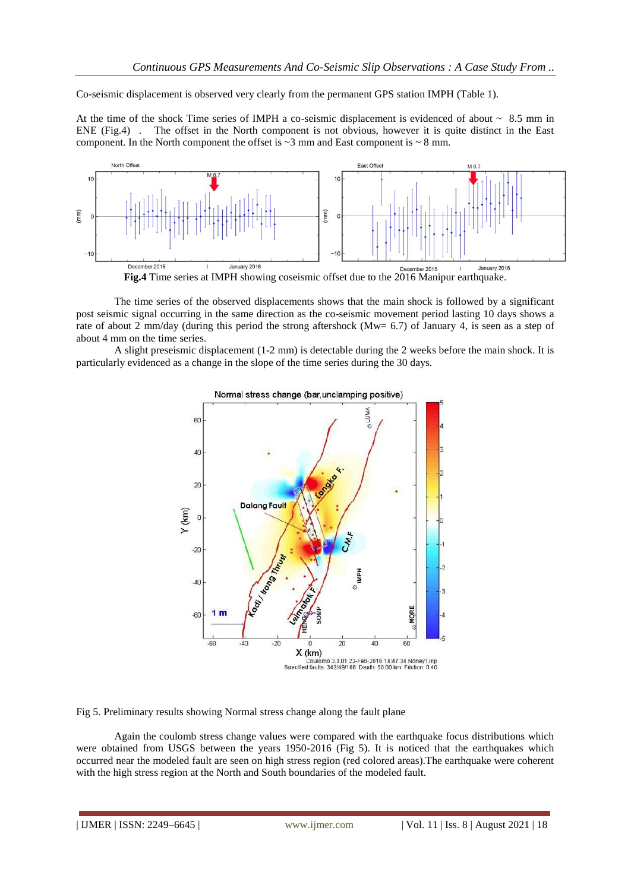Co-seismic displacement is observed very clearly from the permanent GPS station IMPH (Table 1).

At the time of the shock Time series of IMPH a co-seismic displacement is evidenced of about  $\sim 8.5$  mm in ENE (Fig.4) . The offset in the North component is not obvious, however it is quite distinct in the East component. In the North component the offset is  $\sim$ 3 mm and East component is  $\sim$  8 mm.



The time series of the observed displacements shows that the main shock is followed by a significant post seismic signal occurring in the same direction as the co-seismic movement period lasting 10 days shows a rate of about 2 mm/day (during this period the strong aftershock (Mw= 6.7) of January 4, is seen as a step of about 4 mm on the time series.

A slight preseismic displacement (1-2 mm) is detectable during the 2 weeks before the main shock. It is particularly evidenced as a change in the slope of the time series during the 30 days.



Fig 5. Preliminary results showing Normal stress change along the fault plane

Again the coulomb stress change values were compared with the earthquake focus distributions which were obtained from USGS between the years 1950-2016 (Fig 5). It is noticed that the earthquakes which occurred near the modeled fault are seen on high stress region (red colored areas).The earthquake were coherent with the high stress region at the North and South boundaries of the modeled fault.